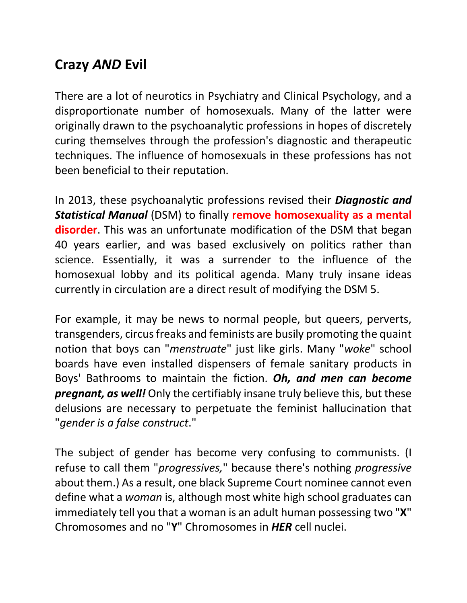## **Crazy** *AND* **Evil**

There are a lot of neurotics in Psychiatry and Clinical Psychology, and a disproportionate number of homosexuals. Many of the latter were originally drawn to the psychoanalytic professions in hopes of discretely curing themselves through the profession's diagnostic and therapeutic techniques. The influence of homosexuals in these professions has not been beneficial to their reputation.

In 2013, these psychoanalytic professions revised their *Diagnostic and Statistical Manual* (DSM) to finally **remove homosexuality as a mental disorder**. This was an unfortunate modification of the DSM that began 40 years earlier, and was based exclusively on politics rather than science. Essentially, it was a surrender to the influence of the homosexual lobby and its political agenda. Many truly insane ideas currently in circulation are a direct result of modifying the DSM 5.

For example, it may be news to normal people, but queers, perverts, transgenders, circus freaks and feminists are busily promoting the quaint notion that boys can "*menstruate*" just like girls. Many "*woke*" school boards have even installed dispensers of female sanitary products in Boys' Bathrooms to maintain the fiction. *Oh, and men can become pregnant, as well!* Only the certifiably insane truly believe this, but these delusions are necessary to perpetuate the feminist hallucination that "*gender is a false construct*."

The subject of gender has become very confusing to communists. (I refuse to call them "*progressives,*" because there's nothing *progressive* about them.) As a result, one black Supreme Court nominee cannot even define what a *woman* is, although most white high school graduates can immediately tell you that a woman is an adult human possessing two "**X**" Chromosomes and no "**Y**" Chromosomes in *HER* cell nuclei.